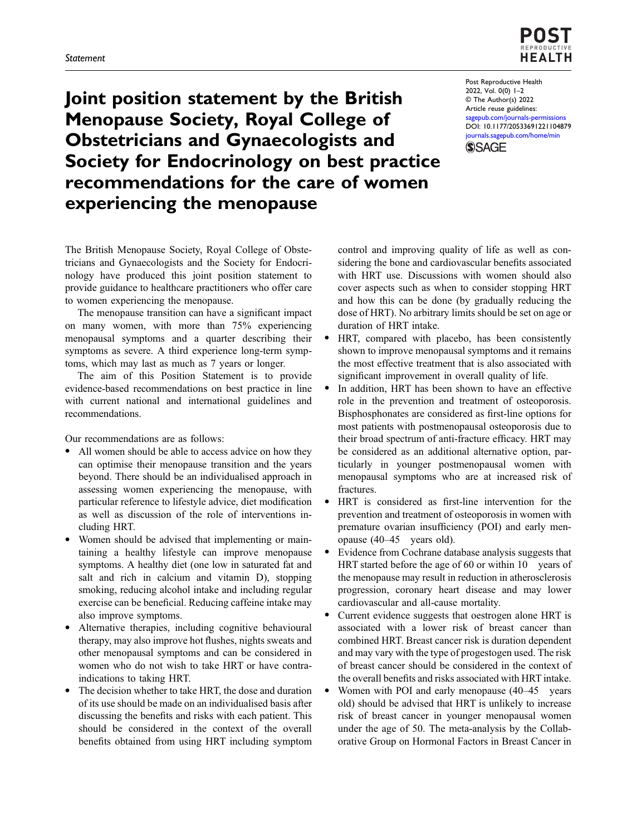

Joint position statement by the British Menopause Society, Royal College of Obstetricians and Gynaecologists and Society for Endocrinology on best practice recommendations for the care of women experiencing the menopause

Post Reproductive Health 2022, Vol. 0(0) 1–2 © The Author(s) 2022 Article reuse guidelines: [sagepub.com/journals-permissions](https://uk.sagepub.com/en-gb/journals-permissions) DOI: [10.1177/20533691221104879](https://doi.org/10.1177/20533691221104879) [journals.sagepub.com/home/min](https://journals.sagepub.com/home/min) **SSAGE** 

The British Menopause Society, Royal College of Obstetricians and Gynaecologists and the Society for Endocrinology have produced this joint position statement to provide guidance to healthcare practitioners who offer care to women experiencing the menopause.

The menopause transition can have a significant impact on many women, with more than 75% experiencing menopausal symptoms and a quarter describing their symptoms as severe. A third experience long-term symptoms, which may last as much as 7 years or longer.

The aim of this Position Statement is to provide evidence-based recommendations on best practice in line with current national and international guidelines and recommendations.

Our recommendations are as follows:

- All women should be able to access advice on how they can optimise their menopause transition and the years beyond. There should be an individualised approach in assessing women experiencing the menopause, with particular reference to lifestyle advice, diet modification as well as discussion of the role of interventions including HRT.
- · Women should be advised that implementing or maintaining a healthy lifestyle can improve menopause symptoms. A healthy diet (one low in saturated fat and salt and rich in calcium and vitamin D), stopping smoking, reducing alcohol intake and including regular exercise can be beneficial. Reducing caffeine intake may also improve symptoms.
- Alternative therapies, including cognitive behavioural therapy, may also improve hot flushes, nights sweats and other menopausal symptoms and can be considered in women who do not wish to take HRT or have contraindications to taking HRT.
- The decision whether to take HRT, the dose and duration of its use should be made on an individualised basis after discussing the benefits and risks with each patient. This should be considered in the context of the overall benefits obtained from using HRT including symptom

control and improving quality of life as well as considering the bone and cardiovascular benefits associated with HRT use. Discussions with women should also cover aspects such as when to consider stopping HRT and how this can be done (by gradually reducing the dose of HRT). No arbitrary limits should be set on age or duration of HRT intake.

- HRT, compared with placebo, has been consistently shown to improve menopausal symptoms and it remains the most effective treatment that is also associated with significant improvement in overall quality of life.
- In addition, HRT has been shown to have an effective role in the prevention and treatment of osteoporosis. Bisphosphonates are considered as first-line options for most patients with postmenopausal osteoporosis due to their broad spectrum of anti-fracture efficacy. HRT may be considered as an additional alternative option, particularly in younger postmenopausal women with menopausal symptoms who are at increased risk of fractures.
- HRT is considered as first-line intervention for the prevention and treatment of osteoporosis in women with premature ovarian insufficiency (POI) and early menopause (40–45 years old).
- Evidence from Cochrane database analysis suggests that HRT started before the age of 60 or within 10 years of the menopause may result in reduction in atherosclerosis progression, coronary heart disease and may lower cardiovascular and all-cause mortality.
- Current evidence suggests that oestrogen alone HRT is associated with a lower risk of breast cancer than combined HRT. Breast cancer risk is duration dependent and may vary with the type of progestogen used. The risk of breast cancer should be considered in the context of the overall benefits and risks associated with HRT intake.
- Women with POI and early menopause (40–45 years old) should be advised that HRT is unlikely to increase risk of breast cancer in younger menopausal women under the age of 50. The meta-analysis by the Collaborative Group on Hormonal Factors in Breast Cancer in